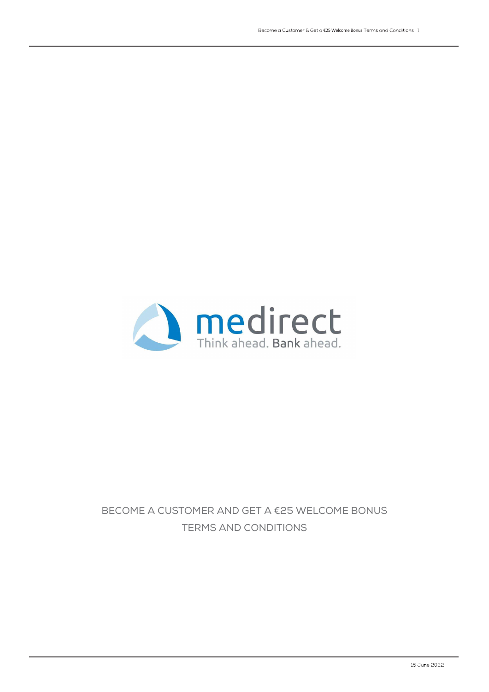

## BECOME A CUSTOMER AND GET A €25 WELCOME BONUS TERMS AND CONDITIONS